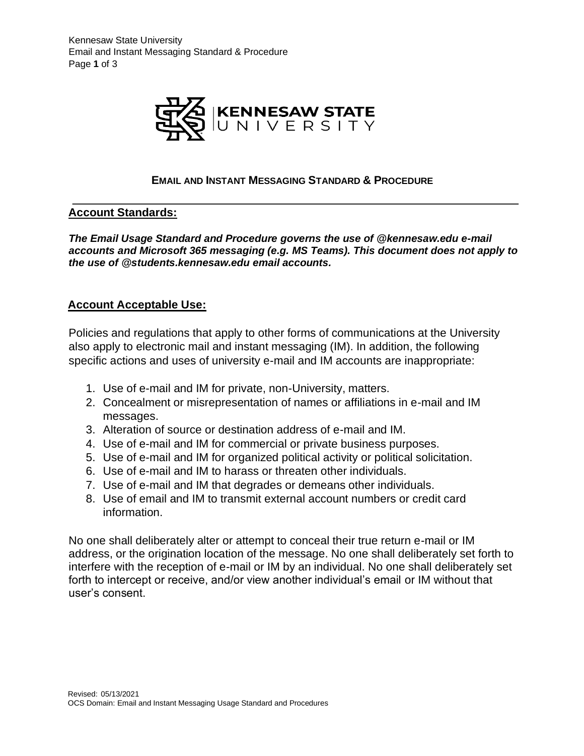

### **EMAIL AND INSTANT MESSAGING STANDARD & PROCEDURE**

### **Account Standards:**

*The Email Usage Standard and Procedure governs the use of @kennesaw.edu e-mail accounts and Microsoft 365 messaging (e.g. MS Teams). This document does not apply to the use of @students.kennesaw.edu email accounts.*

### **Account Acceptable Use:**

Policies and regulations that apply to other forms of communications at the University also apply to electronic mail and instant messaging (IM). In addition, the following specific actions and uses of university e-mail and IM accounts are inappropriate:

- 1. Use of e-mail and IM for private, non-University, matters.
- 2. Concealment or misrepresentation of names or affiliations in e-mail and IM messages.
- 3. Alteration of source or destination address of e-mail and IM.
- 4. Use of e-mail and IM for commercial or private business purposes.
- 5. Use of e-mail and IM for organized political activity or political solicitation.
- 6. Use of e-mail and IM to harass or threaten other individuals.
- 7. Use of e-mail and IM that degrades or demeans other individuals.
- 8. Use of email and IM to transmit external account numbers or credit card information.

No one shall deliberately alter or attempt to conceal their true return e-mail or IM address, or the origination location of the message. No one shall deliberately set forth to interfere with the reception of e-mail or IM by an individual. No one shall deliberately set forth to intercept or receive, and/or view another individual's email or IM without that user's consent.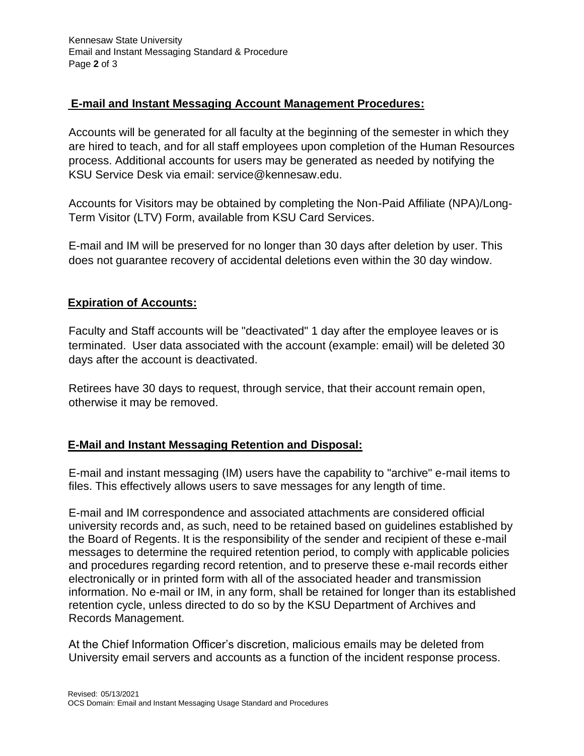## **E-mail and Instant Messaging Account Management Procedures:**

Accounts will be generated for all faculty at the beginning of the semester in which they are hired to teach, and for all staff employees upon completion of the Human Resources process. Additional accounts for users may be generated as needed by notifying the KSU Service Desk via email: service@kennesaw.edu.

Accounts for Visitors may be obtained by completing the Non-Paid Affiliate (NPA)/Long-Term Visitor (LTV) Form, available from KSU Card Services.

E-mail and IM will be preserved for no longer than 30 days after deletion by user. This does not guarantee recovery of accidental deletions even within the 30 day window.

# **Expiration of Accounts:**

Faculty and Staff accounts will be "deactivated" 1 day after the employee leaves or is terminated. User data associated with the account (example: email) will be deleted 30 days after the account is deactivated.

Retirees have 30 days to request, through service, that their account remain open, otherwise it may be removed.

# **E-Mail and Instant Messaging Retention and Disposal:**

E-mail and instant messaging (IM) users have the capability to "archive" e-mail items to files. This effectively allows users to save messages for any length of time.

E-mail and IM correspondence and associated attachments are considered official university records and, as such, need to be retained based on guidelines established by the Board of Regents. It is the responsibility of the sender and recipient of these e-mail messages to determine the required retention period, to comply with applicable policies and procedures regarding record retention, and to preserve these e-mail records either electronically or in printed form with all of the associated header and transmission information. No e-mail or IM, in any form, shall be retained for longer than its established retention cycle, unless directed to do so by the KSU Department of Archives and Records Management.

At the Chief Information Officer's discretion, malicious emails may be deleted from University email servers and accounts as a function of the incident response process.